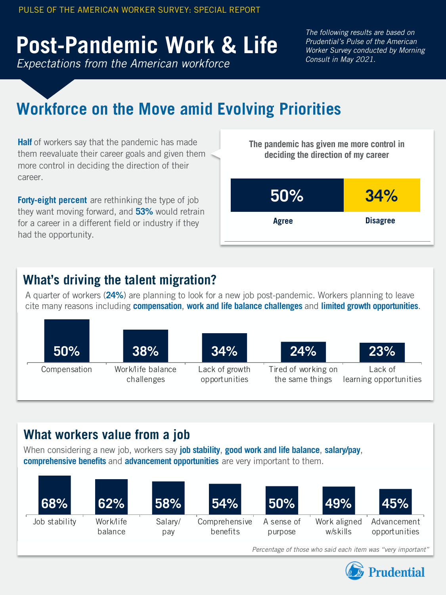# PULSE OF THE AMERICAN WORKER SURVEY: SPECIAL REPORT<br> **Post-Pandemic Work & Life**<br> *Consult in May 2021.*

*Expectations from the American workforce Expectations from the American workforce*

*The following results are based on The following results are based on Prudential's Pulse of the American Prudential's Pulse of the American Worker Survey conducted by Morning Worker Survey conducted by Morning Consult in May 2021.*

# **Workforce on the Move amid Evolving Priorities Workforce on the Move amid Evolving Priorities**

**Half** of workers say that the pandemic has made **Half** of workers say that the pandemic has made them reevaluate their career goals and given them them reevaluate their career goals and given more control in deciding the direction of their career.

**Forty-eight percent** are rethinking the type of job **Forty-eight percent** are rethinking the type of job they want moving forward, and **53%** would retrain they want moving forward, and **53%** would for a career in a different field or industry if they had the opportunity.



# **What's driving the talent migration? What's driving the talent migration?**

A quarter of workers (**24%**) are planning to look for a new job post-pandemic. Workers planning to leave A quarter of workers (**24%**) are planning to look for a new job post-pandemic. Workers planning to leave cite many reasons including compensation, work and life balance challenges and limited growth opportunities.



# **What workers value from a job What workers value from a job**

When considering a new job, workers say job stability, good work and life balance, salary/pay, **comprehensive benefits** and **advancement opportunities** are very important to them. **comprehensive benefits** and **advancement opportunities** are very important to them.



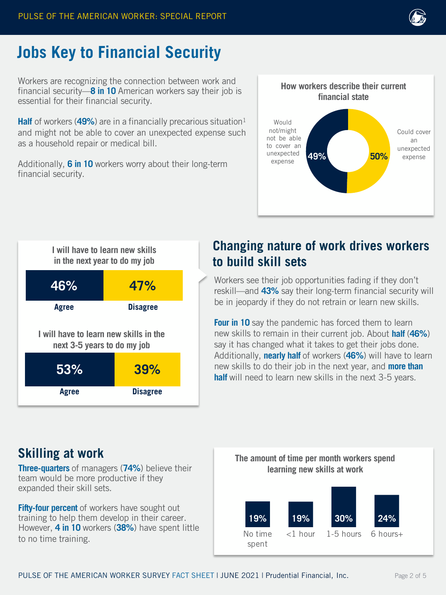

# **Jobs Key to Financial Security**

Workers are recognizing the connection between work and financial security—**8 in 10** American workers say their job is essential for their financial security.

**Half** of workers (49%) are in a financially precarious situation<sup>1</sup> and might not be able to cover an unexpected expense such as a household repair or medical bill.

Additionally, **6 in 10** workers worry about their long-term financial security.





# **Changing nature of work drives workers to build skill sets**

Workers see their job opportunities fading if they don't reskill—and **43%** say their long-term financial security will be in jeopardy if they do not retrain or learn new skills.

**Four in 10** say the pandemic has forced them to learn new skills to remain in their current job. About **half** (**46%**) say it has changed what it takes to get their jobs done. Additionally, **nearly half** of workers (**46%**) will have to learn new skills to do their job in the next year, and **more than half** will need to learn new skills in the next 3-5 years.

#### **Skilling at work**

**Three-quarters** of managers (74%) believe their **learning new skills at work** team would be more productive if they expanded their skill sets.

**Fifty-four percent** of workers have sought out training to help them develop in their career. However, **4 in 10** workers (**38%**) have spent little to no time training.

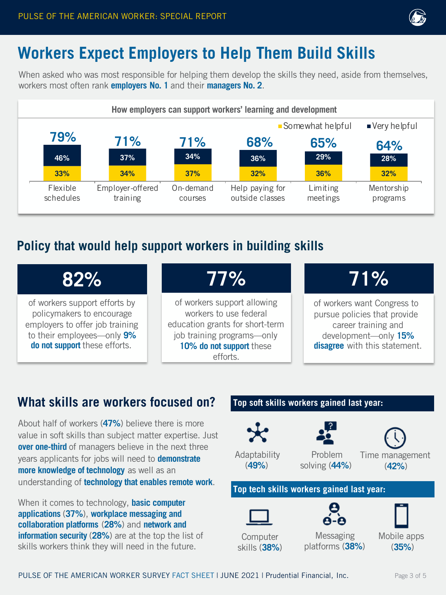

# **Workers Expect Employers to Help Them Build Skills Workers Expect Employers to Help Them Build Skills**

When asked who was most responsible for helping them develop the skills they need, aside from themselves, When asked who was most responsible for helping them develop the skills they need, aside from themselves, workers most often rank **employers No. 1** and their **managers No. 2**. workers most often rank **employers No. 1** and their **managers No. 2**.



#### **Policy that would help support workers in building skills Policy that would help support workers in building skills**

# **82% 82%**

of workers support efforts by of workers support efforts by policymakers to encourage employers to offer job training policymakers to encourage employers to offer job training to their employees—only **9%**  to their employees—only **9% do not support** these efforts. **do not support** these efforts.

# **77% 77%**

of workers support allowing of workers support allowing workers to use federal workers to use federal education grants for short-term education grants for short-term job training programs—only job training programs—only **10% do not support** these **10% do not support** these efforts. efforts.

# **71% 71%**

of workers want Congress to of workers want Congress to pursue policies that provide pursue policies that provide career training and career training and development—only **15%** development—only **15% disagree** with this statement. **disagree** with this statement.

# **What skills are workers focused on? What skills are workers focused on?**

About half of workers (**47%**) believe there is more About half of workers (**47%**) believe there is more value in soft skills than subject matter expertise. Just value in soft skills than subject matter expertise. Just **over one-third** of managers believe in the next three **over one-third** of managers believe in the next three years applicants for jobs will need to **demonstrate** years applicants for jobs will need to **demonstrate more knowledge of technology** as well as an **more knowledge of technology** as well as an understanding of **technology that enables remote work**. understanding of **technology that enables remote work**.

When it comes to technology, **basic computer** When it comes to technology, **basic computer applications** (**37%**), **workplace messaging and applications** (**37%**), **workplace messaging and collaboration platforms** (**28%**) and **network and collaboration platforms** (**28%**) and **network and information security** (**28%**) are at the top the list of **information security** (**28%**) are at the top the list of skills workers think they will need in the future. skills workers think they will need in the future.



PULSE OF THE AMERICAN WORKER SURVEY FACT SHEET I JUNE 2021 | Prudential Financial, Inc. Page 3 of 5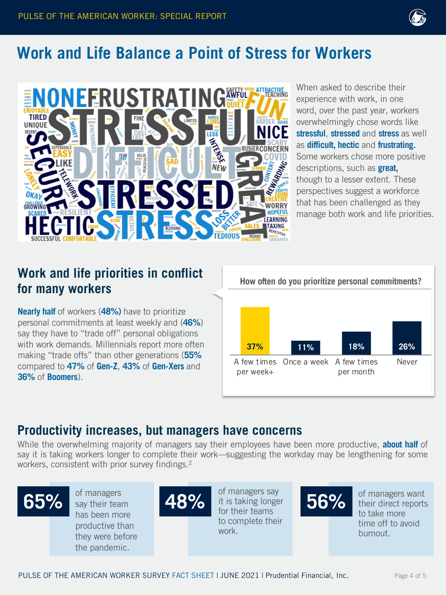

# **Work and Life Balance a Point of Stress for Workers Work and Life Balance a Point of Stress for Workers**



When asked to describe their When asked to describe their<br>experience with work, in one word, over the past year, workers overwhelmingly chose words like overwhelmingly chose words like **stressful**, **stressed** and **stress** as well **stressful**, **stressed** and **stress** as well as **difficult, hectic** and **frustrating.** as **difficult, hectic** and **frustrating.**  Some workers chose more positive Some workers chose more positive descriptions, such as **great,** descriptions, such as **great,** though though to a lesser extent. These perspectives suggest a workforce perspectives suggest a workforce that has been challenged as they that has been challenged as they manage both work and life priorities. manage both work and life priorities.<br>Priorities

# **for many workers for many workers**

**Nearly half** of workers (**48%)** have to prioritize **Nearly half** of workers (**48%)** have to prioritize personal commitments at least weekly and (**46%**) personal commitments at least weekly and (**46%**) say say they have to "trade off" personal obligations with work demands. Millennials report more often making "trade offs" than other generations (55% compared to **47%** of **Gen-Z**, **43%** of **Gen-Xers** and to **47%** of **Gen-Z**, **43%** of **Gen-Xers** and **36%** of **36%** of **Boomers**). **Boomers**).



**Productivity increases, but managers have concerns**<br>
While the overwhelming majority of managers say their employees have be<br>
say it is taking workers longer to complete their work—suggesting the work<br>
workers, consistent While the overwhelming majority of managers say their employees have been more productive, **about half** of While the overwhelming majority of managers say their employees have been more productive, **about half** of say it is taking workers longer to complete their work—suggesting the workday may be lengthening for some say it is taking workers longer to complete their work—suggesting the workday may be lengthening for some workers, consistent with prior survey findings.2 workers, consistent with prior survey findings.2



say their team has been more been more productive than productive than .<br>they were before the pandemic. the pandemic.



it is taking longer for their teams to complete their complete their work. work.



of managers want of managers want<br>their direct reports to take more time off to avoid burnout.